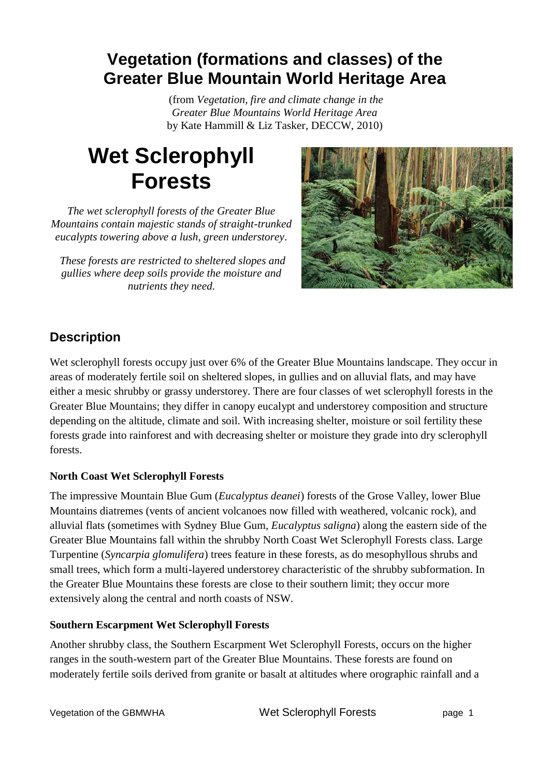## **Vegetation (formations and classes) of the Greater Blue Mountain World Heritage Area**

(from *Vegetation, fire and climate change in the Greater Blue Mountains World Heritage Area* by Kate Hammill & Liz Tasker, DECCW, 2010)

# **Wet Sclerophyll Forests**

*The wet sclerophyll forests of the Greater Blue Mountains contain majestic stands of straight-trunked eucalypts towering above a lush, green understorey.*

*These forests are restricted to sheltered slopes and gullies where deep soils provide the moisture and nutrients they need.*



### **Description**

Wet sclerophyll forests occupy just over 6% of the Greater Blue Mountains landscape. They occur in areas of moderately fertile soil on sheltered slopes, in gullies and on alluvial flats, and may have either a mesic shrubby or grassy understorey. There are four classes of wet sclerophyll forests in the Greater Blue Mountains; they differ in canopy eucalypt and understorey composition and structure depending on the altitude, climate and soil. With increasing shelter, moisture or soil fertility these forests grade into rainforest and with decreasing shelter or moisture they grade into dry sclerophyll forests.

#### **North Coast Wet Sclerophyll Forests**

The impressive Mountain Blue Gum (*Eucalyptus deanei*) forests of the Grose Valley, lower Blue Mountains diatremes (vents of ancient volcanoes now filled with weathered, volcanic rock), and alluvial flats (sometimes with Sydney Blue Gum, *Eucalyptus saligna*) along the eastern side of the Greater Blue Mountains fall within the shrubby North Coast Wet Sclerophyll Forests class. Large Turpentine (*Syncarpia glomulifera*) trees feature in these forests, as do mesophyllous shrubs and small trees, which form a multi-layered understorey characteristic of the shrubby subformation. In the Greater Blue Mountains these forests are close to their southern limit; they occur more extensively along the central and north coasts of NSW.

#### **Southern Escarpment Wet Sclerophyll Forests**

Another shrubby class, the Southern Escarpment Wet Sclerophyll Forests, occurs on the higher ranges in the south-western part of the Greater Blue Mountains. These forests are found on moderately fertile soils derived from granite or basalt at altitudes where orographic rainfall and a